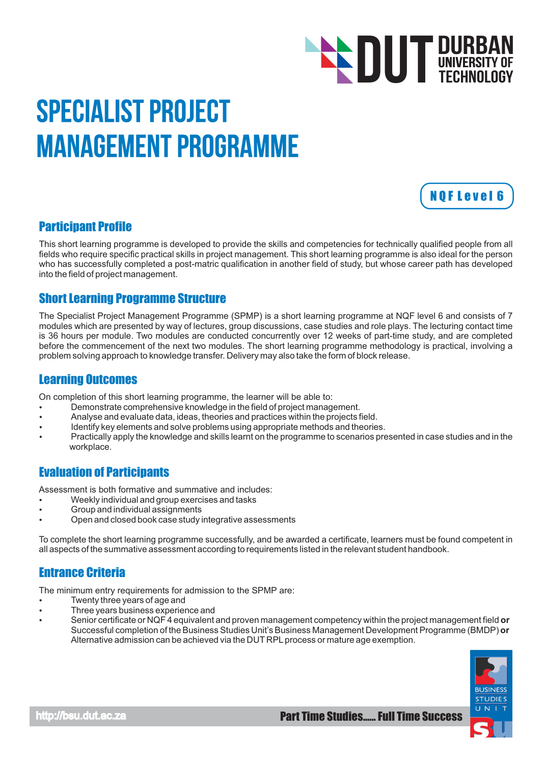# **DUT DURBAN**<br>TECHNOLOGY TECHNOLOGY

# Specialist Project Management Programme



### Participant Profile

This short learning programme is developed to provide the skills and competencies for technically qualified people from all fields who require specific practical skills in project management. This short learning programme is also ideal for the person who has successfully completed a post-matric qualification in another field of study, but whose career path has developed into the field of project management.

### Short Learning Programme Structure

The Specialist Project Management Programme (SPMP) is a short learning programme at NQF level 6 and consists of 7 modules which are presented by way of lectures, group discussions, case studies and role plays. The lecturing contact time is 36 hours per module. Two modules are conducted concurrently over 12 weeks of part-time study, and are completed before the commencement of the next two modules. The short learning programme methodology is practical, involving a problem solving approach to knowledge transfer. Delivery may also take the form of block release.

#### Learning Outcomes

On completion of this short learning programme, the learner will be able to:

- Demonstrate comprehensive knowledge in the field of project management.  $\bullet$
- Analyse and evaluate data, ideas, theories and practices within the projects field.
- Identify key elements and solve problems using appropriate methods and theories.
- Practically apply the knowledge and skills learnt on the programme to scenarios presented in case studies and in the workplace.

## Evaluation of Participants

Assessment is both formative and summative and includes:

- Weekly individual and group exercises and tasks
- Group and individual assignments
- Open and closed book case study integrative assessments

To complete the short learning programme successfully, and be awarded a certificate, learners must be found competent in all aspects of the summative assessment according to requirements listed in the relevant student handbook.

# Entrance Criteria

The minimum entry requirements for admission to the SPMP are:

- Twenty three years of age and
- Three years business experience and
- Senior certificate or NQF 4 equivalent and proven management competency within the project management field or Successful completion of the Business Studies Unit's Business Management Development Programme (BMDP) **or** Alternative admission can be achieved via the DUT RPL process or mature age exemption.